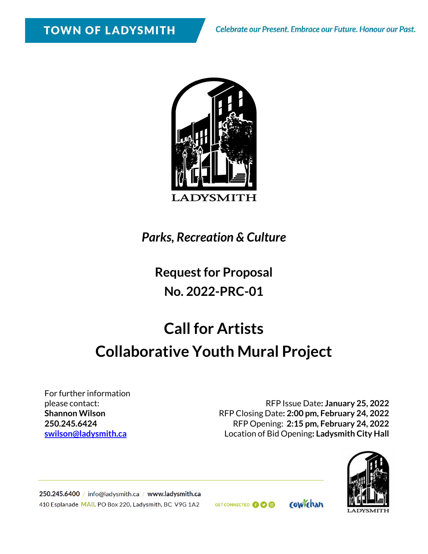

*Parks, Recreation & Culture*

# **Request for Proposal No. 2022-PRC-01**

# **Call for Artists Collaborative Youth Mural Project**

For further information please contact: **Shannon Wilson 250.245.6424 [swilson@ladysmith.ca](mailto:swilson@ladysmith.ca)**

RFP Issue Date**: January 25, 2022** RFP Closing Date**: 2:00 pm, February 24, 2022** RFP Opening: **2:15 pm, February 24, 2022** Location of Bid Opening**: Ladysmith City Hall**



250.245.6400 / info@ladysmith.ca / www.ladysmith.ca 410 Esplanade MAIL PO Box 220, Ladysmith, BC V9G 1A2

GET CONNECTED **OO** 

cowichan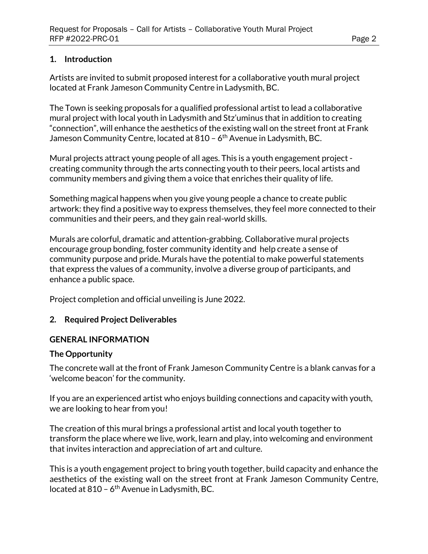#### **1. Introduction**

Artists are invited to submit proposed interest for a collaborative youth mural project located at Frank Jameson Community Centre in Ladysmith, BC.

The Town is seeking proposals for a qualified professional artist to lead a collaborative mural project with local youth in Ladysmith and Stz'uminus that in addition to creating "connection", will enhance the aesthetics of the existing wall on the street front at Frank Jameson Community Centre, located at 810 - 6<sup>th</sup> Avenue in Ladysmith, BC.

Mural projects attract young people of all ages. This is a youth engagement project creating community through the arts connecting youth to their peers, local artists and community members and giving them a voice that enriches their quality of life.

Something magical happens when you give young people a chance to create public artwork: they find a positive way to express themselves, they feel more connected to their communities and their peers, and they gain real-world skills.

Murals are colorful, dramatic and attention-grabbing. Collaborative mural projects encourage group bonding, foster community identity and help create a sense of community purpose and pride. Murals have the potential to make powerful statements that express the values of a community, involve a diverse group of participants, and enhance a public space.

Project completion and official unveiling is June 2022.

#### **2. Required Project Deliverables**

#### **GENERAL INFORMATION**

#### **The Opportunity**

The concrete wall at the front of Frank Jameson Community Centre is a blank canvas for a 'welcome beacon' for the community.

If you are an experienced artist who enjoys building connections and capacity with youth, we are looking to hear from you!

The creation of this mural brings a professional artist and local youth together to transform the place where we live, work, learn and play, into welcoming and environment that invites interaction and appreciation of art and culture.

This is a youth engagement project to bring youth together, build capacity and enhance the aesthetics of the existing wall on the street front at Frank Jameson Community Centre, located at  $810 - 6$ <sup>th</sup> Avenue in Ladysmith, BC.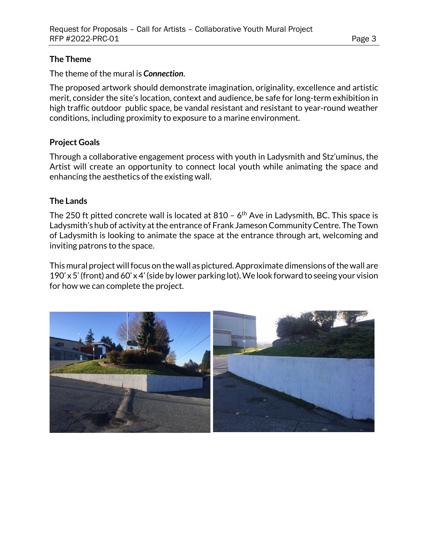#### **The Theme**

The theme of the mural is *Connection*.

The proposed artwork should demonstrate imagination, originality, excellence and artistic merit, consider the site's location, context and audience, be safe for long-term exhibition in high traffic outdoor public space, be vandal resistant and resistant to year-round weather conditions, including proximity to exposure to a marine environment.

## **Project Goals**

Through a collaborative engagement process with youth in Ladysmith and Stz'uminus, the Artist will create an opportunity to connect local youth while animating the space and enhancing the aesthetics of the existing wall.

### **The Lands**

The 250 ft pitted concrete wall is located at 810 –  $6<sup>th</sup>$  Ave in Ladysmith, BC. This space is Ladysmith's hub of activity at the entrance of Frank Jameson Community Centre. The Town of Ladysmith is looking to animate the space at the entrance through art, welcoming and inviting patrons to the space.

This mural project will focus on the wall as pictured. Approximate dimensions of the wall are 190' x 5' (front) and 60' x 4' (side by lower parking lot).We look forward to seeing your vision for how we can complete the project.

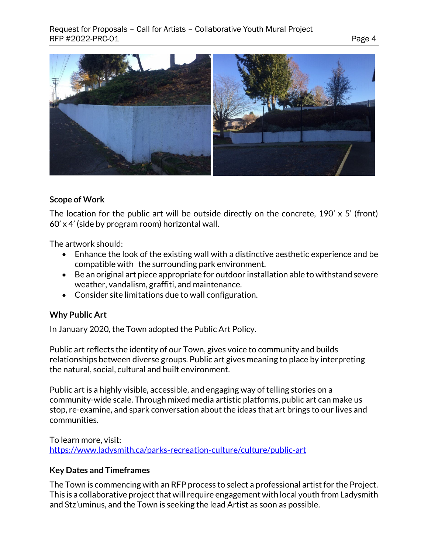

#### **Scope of Work**

The location for the public art will be outside directly on the concrete, 190' x 5' (front) 60' x 4' (side by program room) horizontal wall.

The artwork should:

- Enhance the look of the existing wall with a distinctive aesthetic experience and be compatible with the surrounding park environment.
- Be an original art piece appropriate for outdoor installation able to withstand severe weather, vandalism, graffiti, and maintenance.
- Consider site limitations due to wall configuration.

#### **Why Public Art**

In January 2020, the Town adopted the Public Art Policy.

Public art reflects the identity of our Town, gives voice to community and builds relationships between diverse groups. Public art gives meaning to place by interpreting the natural, social, cultural and built environment.

Public art is a highly visible, accessible, and engaging way of telling stories on a community-wide scale. Through mixed media artistic platforms, public art can make us stop, re-examine, and spark conversation about the ideas that art brings to our lives and communities.

To learn more, visit: <https://www.ladysmith.ca/parks-recreation-culture/culture/public-art>

#### **Key Dates and Timeframes**

The Town is commencing with an RFP process to select a professional artist for the Project. This is a collaborative project that will require engagement with local youth from Ladysmith and Stz'uminus, and the Town is seeking the lead Artist as soon as possible.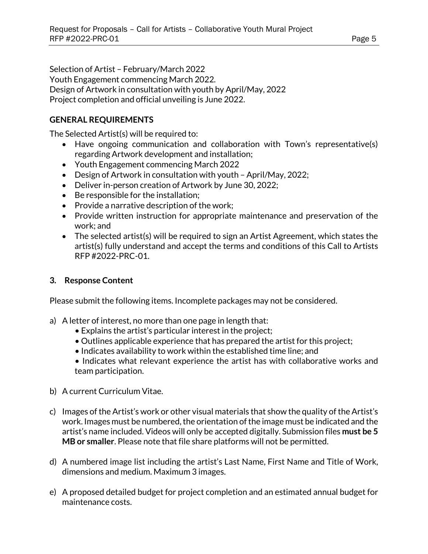Selection of Artist – February/March 2022 Youth Engagement commencing March 2022. Design of Artwork in consultation with youth by April/May, 2022 Project completion and official unveiling is June 2022.

#### **GENERAL REQUIREMENTS**

The Selected Artist(s) will be required to:

- Have ongoing communication and collaboration with Town's representative(s) regarding Artwork development and installation;
- Youth Engagement commencing March 2022
- Design of Artwork in consultation with youth April/May, 2022;
- Deliver in-person creation of Artwork by June 30, 2022;
- Be responsible for the installation;
- Provide a narrative description of the work;
- Provide written instruction for appropriate maintenance and preservation of the work; and
- The selected artist(s) will be required to sign an Artist Agreement, which states the artist(s) fully understand and accept the terms and conditions of this Call to Artists RFP #2022-PRC-01.

#### **3. Response Content**

Please submit the following items. Incomplete packages may not be considered.

- a) A letter of interest, no more than one page in length that:
	- Explains the artist's particular interest in the project;
	- Outlines applicable experience that has prepared the artist for this project;
	- Indicates availability to work within the established time line; and
	- Indicates what relevant experience the artist has with collaborative works and team participation.
- b) A current Curriculum Vitae.
- c) Images of the Artist's work or other visual materials that show the quality of the Artist's work. Images must be numbered, the orientation of the image must be indicated and the artist's name included. Videos will only be accepted digitally. Submission files **must be 5 MB or smaller**. Please note that file share platforms will not be permitted.
- d) A numbered image list including the artist's Last Name, First Name and Title of Work, dimensions and medium. Maximum 3 images.
- e) A proposed detailed budget for project completion and an estimated annual budget for maintenance costs.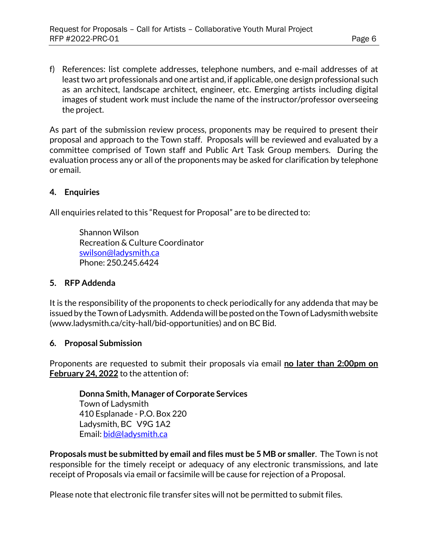f) References: list complete addresses, telephone numbers, and e-mail addresses of at least two art professionals and one artist and, if applicable, one design professional such as an architect, landscape architect, engineer, etc. Emerging artists including digital images of student work must include the name of the instructor/professor overseeing the project.

As part of the submission review process, proponents may be required to present their proposal and approach to the Town staff. Proposals will be reviewed and evaluated by a committee comprised of Town staff and Public Art Task Group members. During the evaluation process any or all of the proponents may be asked for clarification by telephone or email.

#### **4. Enquiries**

All enquiries related to this "Request for Proposal" are to be directed to:

Shannon Wilson Recreation & Culture Coordinator [swilson@ladysmith.ca](mailto:swilson@ladysmith.ca) Phone: 250.245.6424

#### **5. RFP Addenda**

It is the responsibility of the proponents to check periodically for any addenda that may be issued by the Town of Ladysmith. Addenda will be posted on the Town of Ladysmith website (www.ladysmith.ca/city-hall/bid-opportunities) and on BC Bid.

#### **6. Proposal Submission**

Proponents are requested to submit their proposals via email **no later than 2:00pm on February 24, 2022** to the attention of:

**Donna Smith, Manager of Corporate Services** Town of Ladysmith 410 Esplanade - P.O. Box 220 Ladysmith, BC V9G 1A2 Email: [bid@ladysmith.ca](mailto:bid@ladysmith.ca)

**Proposals must be submitted by email and files must be 5 MB or smaller**. The Town is not responsible for the timely receipt or adequacy of any electronic transmissions, and late receipt of Proposals via email or facsimile will be cause for rejection of a Proposal.

Please note that electronic file transfer sites will not be permitted to submit files.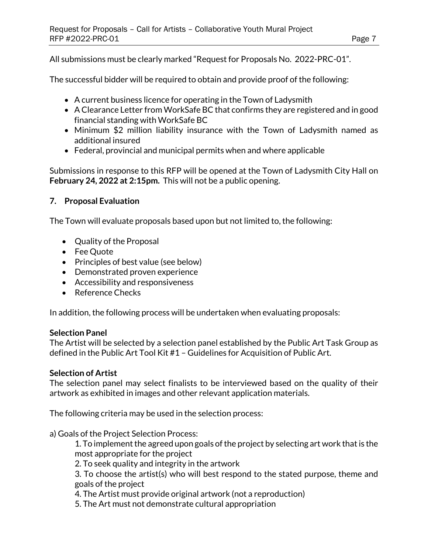All submissions must be clearly marked "Request for Proposals No. 2022-PRC-01".

The successful bidder will be required to obtain and provide proof of the following:

- A current business licence for operating in the Town of Ladysmith
- A Clearance Letter from WorkSafe BC that confirms they are registered and in good financial standing with WorkSafe BC
- Minimum \$2 million liability insurance with the Town of Ladysmith named as additional insured
- Federal, provincial and municipal permits when and where applicable

Submissions in response to this RFP will be opened at the Town of Ladysmith City Hall on **February 24, 2022 at 2:15pm.** This will not be a public opening.

#### **7. Proposal Evaluation**

The Town will evaluate proposals based upon but not limited to, the following:

- Quality of the Proposal
- Fee Quote
- Principles of best value (see below)
- Demonstrated proven experience
- Accessibility and responsiveness
- Reference Checks

In addition, the following process will be undertaken when evaluating proposals:

#### **Selection Panel**

The Artist will be selected by a selection panel established by the Public Art Task Group as defined in the Public Art Tool Kit #1 – Guidelines for Acquisition of Public Art.

#### **Selection of Artist**

The selection panel may select finalists to be interviewed based on the quality of their artwork as exhibited in images and other relevant application materials.

The following criteria may be used in the selection process:

#### a) Goals of the Project Selection Process:

1. To implement the agreed upon goals of the project by selecting art work that is the most appropriate for the project

2. To seek quality and integrity in the artwork

3. To choose the artist(s) who will best respond to the stated purpose, theme and goals of the project

4. The Artist must provide original artwork (not a reproduction)

5. The Art must not demonstrate cultural appropriation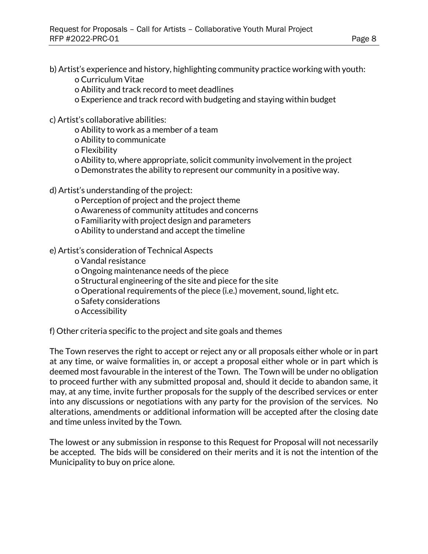b) Artist's experience and history, highlighting community practice working with youth:

o Curriculum Vitae

o Ability and track record to meet deadlines

o Experience and track record with budgeting and staying within budget

c) Artist's collaborative abilities:

o Ability to work as a member of a team

o Ability to communicate

o Flexibility

o Ability to, where appropriate, solicit community involvement in the project

o Demonstrates the ability to represent our community in a positive way.

d) Artist's understanding of the project:

o Perception of project and the project theme

o Awareness of community attitudes and concerns

o Familiarity with project design and parameters

o Ability to understand and accept the timeline

e) Artist's consideration of Technical Aspects

o Vandal resistance

o Ongoing maintenance needs of the piece

o Structural engineering of the site and piece for the site

o Operational requirements of the piece (i.e.) movement, sound, light etc.

o Safety considerations

o Accessibility

f) Other criteria specific to the project and site goals and themes

The Town reserves the right to accept or reject any or all proposals either whole or in part at any time, or waive formalities in, or accept a proposal either whole or in part which is deemed most favourable in the interest of the Town. The Town will be under no obligation to proceed further with any submitted proposal and, should it decide to abandon same, it may, at any time, invite further proposals for the supply of the described services or enter into any discussions or negotiations with any party for the provision of the services. No alterations, amendments or additional information will be accepted after the closing date and time unless invited by the Town.

The lowest or any submission in response to this Request for Proposal will not necessarily be accepted. The bids will be considered on their merits and it is not the intention of the Municipality to buy on price alone.